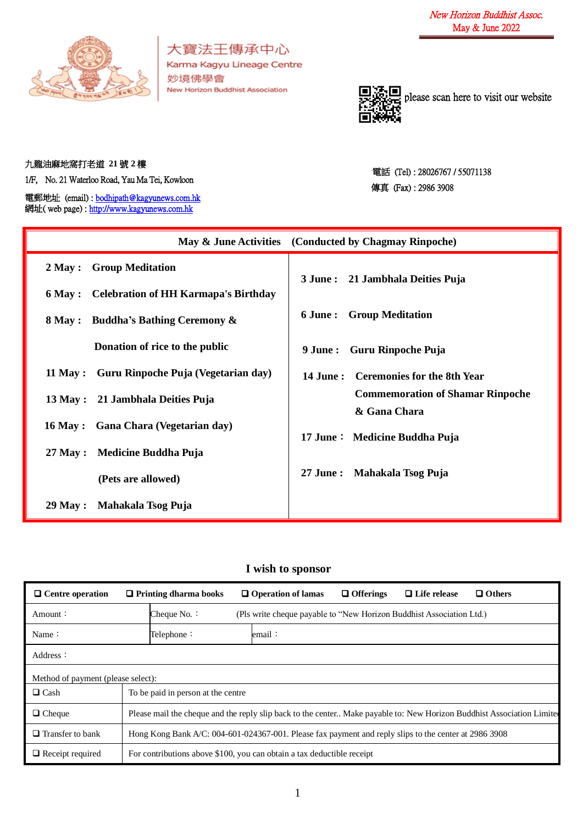

大寶法王傳承中心 Karma Kagyu Lineage Centre 妙境佛學會 New Horizon Buddhist Association



please scan here to visit our website

## 九龍油麻地窩打老道 **21** 號 **2** 樓

1/F, No. 21 Waterloo Road, Yau Ma Tei, Kowloon

電郵地址 (email) [: bodhipath@kagyunews.com.hk](mailto:bodhipath@kagyunews.com.hk) 網址( web page) : [http://www.kagyunews.com.hk](http://www.kagyunews.com.hk/)

電話 (Tel) : 28026767 / 55071138 傳真 (Fax) : 2986 3908

|                                              | May & June Activities (Conducted by Chagmay Rinpoche)   |
|----------------------------------------------|---------------------------------------------------------|
| 2 May : Group Meditation                     | 3 June: 21 Jambhala Deities Puja                        |
| 6 May : Celebration of HH Karmapa's Birthday |                                                         |
| <b>8 May :</b> Buddha's Bathing Ceremony &   | <b>6 June : Group Meditation</b>                        |
| Donation of rice to the public               | Guru Rinpoche Puja<br>9 June :                          |
| 11 May : Guru Rinpoche Puja (Vegetarian day) | 14 June: Ceremonies for the 8th Year                    |
| 13 May : 21 Jambhala Deities Puja            | <b>Commemoration of Shamar Rinpoche</b><br>& Gana Chara |
| 16 May : Gana Chara (Vegetarian day)         | 17 June: Medicine Buddha Puja                           |
| 27 May : Medicine Buddha Puja                |                                                         |
| (Pets are allowed)                           | 27 June: Mahakala Tsog Puja                             |
| Mahakala Tsog Puja<br>29 May :               |                                                         |

## **I wish to sponsor**

| $\Box$ Centre operation            |                                    | $\Box$ Printing dharma books                                                                                           |  | $\Box$ Operation of lamas                                            | $\Box$ Offerings | $\Box$ Life release | $\Box$ Others |
|------------------------------------|------------------------------------|------------------------------------------------------------------------------------------------------------------------|--|----------------------------------------------------------------------|------------------|---------------------|---------------|
| Amount:                            |                                    | Cheque No. $\colon$                                                                                                    |  | (Pls write cheque payable to "New Horizon Buddhist Association Ltd.) |                  |                     |               |
| Name:                              |                                    | Telephone:                                                                                                             |  | email∶                                                               |                  |                     |               |
| Address:                           |                                    |                                                                                                                        |  |                                                                      |                  |                     |               |
| Method of payment (please select): |                                    |                                                                                                                        |  |                                                                      |                  |                     |               |
| $\Box$ Cash                        | To be paid in person at the centre |                                                                                                                        |  |                                                                      |                  |                     |               |
| $\Box$ Cheque                      |                                    | Please mail the cheque and the reply slip back to the center Make payable to: New Horizon Buddhist Association Limited |  |                                                                      |                  |                     |               |
| $\Box$ Transfer to bank            |                                    | Hong Kong Bank A/C: 004-601-024367-001. Please fax payment and reply slips to the center at 2986 3908                  |  |                                                                      |                  |                     |               |
| $\Box$ Receipt required            |                                    | For contributions above \$100, you can obtain a tax deductible receipt                                                 |  |                                                                      |                  |                     |               |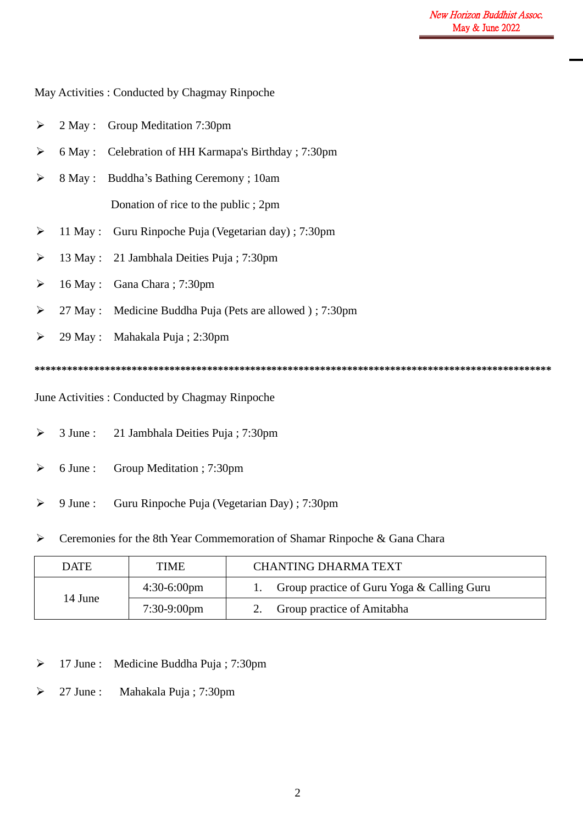| ➤                     |            | 2 May : Group Meditation 7:30pm                          |
|-----------------------|------------|----------------------------------------------------------|
| ➤                     |            | 6 May : Celebration of HH Karmapa's Birthday ; 7:30pm    |
| ➤                     |            | 8 May : Buddha's Bathing Ceremony ; 10am                 |
|                       |            | Donation of rice to the public; 2pm                      |
| ➤                     |            | 11 May : Guru Rinpoche Puja (Vegetarian day) ; 7:30pm    |
| ➤                     |            | 13 May : 21 Jambhala Deities Puja ; 7:30pm               |
| ➤                     |            | 16 May : Gana Chara ; 7:30pm                             |
| $\blacktriangleright$ |            | 27 May : Medicine Buddha Puja (Pets are allowed); 7:30pm |
| $\blacktriangleright$ |            | 29 May: Mahakala Puja; 2:30pm                            |
|                       |            |                                                          |
|                       |            | June Activities : Conducted by Chagmay Rinpoche          |
| ➤                     | $3$ June : | 21 Jambhala Deities Puja; 7:30pm                         |

- ➢ 6 June : Group Meditation ; 7:30pm
- ➢ 9 June : Guru Rinpoche Puja (Vegetarian Day) ; 7:30pm
- ➢ Ceremonies for the 8th Year Commemoration of Shamar Rinpoche & Gana Chara

| <b>DATE</b> | <b>TIME</b>           | <b>CHANTING DHARMA TEXT</b>                |  |  |  |
|-------------|-----------------------|--------------------------------------------|--|--|--|
| 14 June     | $4:30-6:00 \text{pm}$ | Group practice of Guru Yoga & Calling Guru |  |  |  |
|             | $7:30-9:00$ pm        | Group practice of Amitabha                 |  |  |  |

- ➢ 17 June : Medicine Buddha Puja ; 7:30pm
- ➢ 27 June : Mahakala Puja ; 7:30pm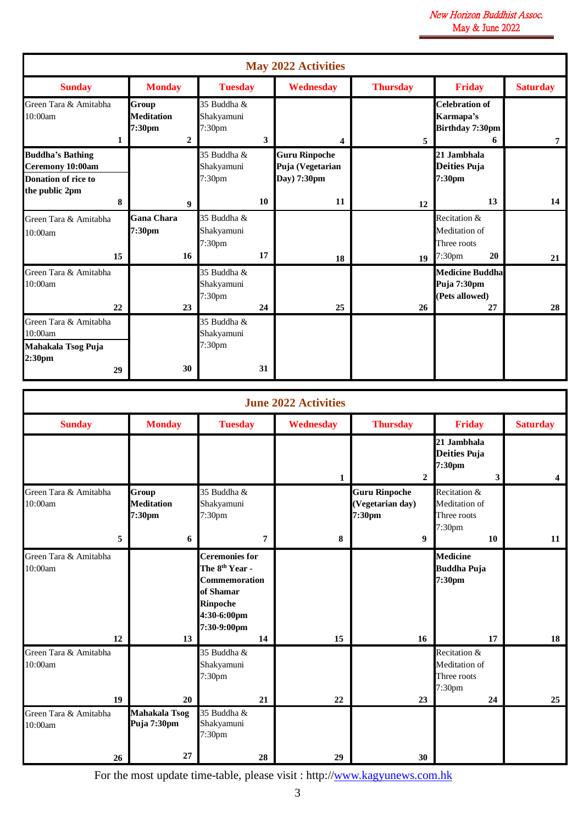|                                                                                             |                                                                    |                                                 | May 2022 Activities                                     |                 |                                                                   |                 |
|---------------------------------------------------------------------------------------------|--------------------------------------------------------------------|-------------------------------------------------|---------------------------------------------------------|-----------------|-------------------------------------------------------------------|-----------------|
| <b>Sunday</b>                                                                               | <b>Monday</b>                                                      | <b>Tuesday</b>                                  | <b>Wednesday</b>                                        | <b>Thursday</b> | <b>Friday</b>                                                     | <b>Saturday</b> |
| Green Tara & Amitabha<br>10:00am<br>1                                                       | Group<br><b>Meditation</b><br>7:30 <sub>pm</sub><br>$\overline{2}$ | 35 Buddha &<br>Shakyamuni<br>7:30pm<br>3        | 4                                                       | 5               | <b>Celebration of</b><br>Karmapa's<br><b>Birthday 7:30pm</b><br>6 | 7               |
| <b>Buddha's Bathing</b><br>Ceremony 10:00am<br><b>Donation of rice to</b><br>the public 2pm |                                                                    | 35 Buddha &<br>Shakyamuni<br>7:30 <sub>pm</sub> | <b>Guru Rinpoche</b><br>Puja (Vegetarian<br>Day) 7:30pm |                 | 21 Jambhala<br><b>Deities Puja</b><br>7:30 <sub>pm</sub>          |                 |
| 8                                                                                           | 9                                                                  | 10                                              | 11                                                      | 12              | 13                                                                | 14              |
| Green Tara & Amitabha<br>10:00am<br>15                                                      | <b>Gana Chara</b><br>7:30pm<br>16                                  | 35 Buddha &<br>Shakyamuni<br>7:30pm<br>17       | 18                                                      | 19              | Recitation &<br>Meditation of<br>Three roots<br>7:30pm<br>20      | 21              |
| Green Tara & Amitabha<br>10:00am<br>22                                                      | 23                                                                 | 35 Buddha &<br>Shakyamuni<br>7:30pm<br>24       | 25                                                      | 26              | <b>Medicine Buddha</b><br>Puja 7:30pm<br>(Pets allowed)<br>27     | 28              |
| Green Tara & Amitabha<br>10:00am<br>Mahakala Tsog Puja<br>2:30 <sub>pm</sub><br>29          | 30                                                                 | 35 Buddha &<br>Shakyamuni<br>7:30pm<br>31       |                                                         |                 |                                                                   |                 |

|                                        |                                           |                                                                                                                                                 | <b>June 2022 Activities</b> |                                                                        |                                                                          |                 |
|----------------------------------------|-------------------------------------------|-------------------------------------------------------------------------------------------------------------------------------------------------|-----------------------------|------------------------------------------------------------------------|--------------------------------------------------------------------------|-----------------|
| <b>Sunday</b>                          | <b>Monday</b>                             | <b>Tuesday</b>                                                                                                                                  | <b>Wednesday</b>            | <b>Thursday</b>                                                        | Friday                                                                   | <b>Saturday</b> |
|                                        |                                           |                                                                                                                                                 | $\mathbf{1}$                | $\overline{2}$                                                         | 21 Jambhala<br><b>Deities Puja</b><br>7:30pm<br>3                        | 4 <sup>1</sup>  |
| Green Tara & Amitabha<br>10:00am<br>5  | Group<br><b>Meditation</b><br>7:30pm<br>6 | 35 Buddha &<br>Shakyamuni<br>7:30pm<br>7                                                                                                        | 8                           | <b>Guru Rinpoche</b><br>(Vegetarian day)<br>7:30pm<br>$\boldsymbol{9}$ | Recitation &<br>Meditation of<br>Three roots<br>7:30 <sub>pm</sub><br>10 | 11              |
| Green Tara & Amitabha<br>10:00am<br>12 | 13                                        | <b>Ceremonies for</b><br>The 8 <sup>th</sup> Year -<br><b>Commemoration</b><br>of Shamar<br><b>Rinpoche</b><br>4:30-6:00pm<br>7:30-9:00pm<br>14 | 15                          | 16                                                                     | <b>Medicine</b><br><b>Buddha Puja</b><br>7:30pm<br>17                    | 18              |
| Green Tara & Amitabha<br>10:00am<br>19 | 20                                        | 35 Buddha &<br>Shakyamuni<br>7:30 <sub>pm</sub><br>21                                                                                           | 22                          | 23                                                                     | Recitation &<br>Meditation of<br>Three roots<br>7:30pm<br>24             | 25              |
| Green Tara & Amitabha<br>10:00am<br>26 | <b>Mahakala Tsog</b><br>Puja 7:30pm<br>27 | $\overline{35}$ Buddha &<br>Shakyamuni<br>7:30pm<br>28                                                                                          | 29                          | 30                                                                     |                                                                          |                 |

For the most update time-table, please visit : http:/[/www.kagyunews.com.hk](http://www.kagyunews.com.hk/)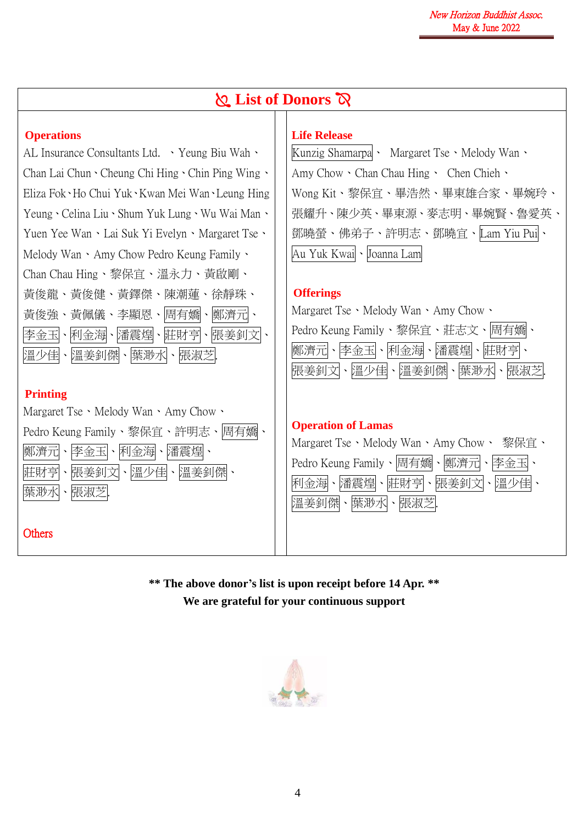|                                                     | <b>Q</b> List of Donors $\alpha$              |  |  |  |  |  |
|-----------------------------------------------------|-----------------------------------------------|--|--|--|--|--|
| <b>Operations</b>                                   | <b>Life Release</b>                           |  |  |  |  |  |
| AL Insurance Consultants Ltd. • Yeung Biu Wah •     | Kunzig Shamarpa · Margaret Tse · Melody Wan · |  |  |  |  |  |
| Chan Lai Chun Cheung Chi Hing Chin Ping Wing        | Amy Chow · Chan Chau Hing · Chen Chieh ·      |  |  |  |  |  |
| Eliza Fok · Ho Chui Yuk · Kwan Mei Wan · Leung Hing | Wong Kit、黎保宜、畢浩然、畢東雄合家、畢婉玲、                   |  |  |  |  |  |
| Yeung · Celina Liu · Shum Yuk Lung · Wu Wai Man ·   | 張耀升、陳少英、畢東源、麥志明、畢婉賢、魯愛英、                      |  |  |  |  |  |
| Yuen Yee Wan · Lai Suk Yi Evelyn · Margaret Tse ·   | 鄧曉螢、佛弟子、許明志、鄧曉宜、Lam Yiu Pui                   |  |  |  |  |  |
| Melody Wan · Amy Chow Pedro Keung Family ·          | Au Yuk Kwai · Joanna Lam                      |  |  |  |  |  |
| Chan Chau Hing、黎保宜、溫永力、黃啟剛、                         | <b>Offerings</b>                              |  |  |  |  |  |
| 黃俊龍、黃俊健、黃鐸傑、陳潮蓮、徐靜珠、                                | Margaret Tse · Melody Wan · Amy Chow ·        |  |  |  |  |  |
| 黃俊強、黃佩儀、李顯恩、周有嬌、鄭濟元、                                | Pedro Keung Family、黎保宜、莊志文、周有嬌、               |  |  |  |  |  |
| 李金玉、利金海、潘震煌、莊財亨、張姜釗文、                               | 鄭濟元、李金玉、利金海、潘震煌、莊財亨                           |  |  |  |  |  |
| 溫少佳、溫姜釗傑、葉渺水、張淑芝                                    | 張姜釗文、溫少佳、溫姜釗傑、葉渺水、張淑芝                         |  |  |  |  |  |
| <b>Printing</b>                                     | <b>Operation of Lamas</b>                     |  |  |  |  |  |
| Margaret Tse · Melody Wan · Amy Chow ·              | Margaret Tse、Melody Wan、Amy Chow、 黎保宜、        |  |  |  |  |  |
| Pedro Keung Family、黎保宜、許明志、周有嬌、                     | Pedro Keung Family、周有嬌、鄭濟元                    |  |  |  |  |  |
| 鄭濟元、李金玉、利金海、潘震煌、                                    | 李金玉 ・                                         |  |  |  |  |  |
| 莊財亨 、張姜釗文 、溫少佳 、溫姜釗傑 、                              | $\boldsymbol{\lambda}$                        |  |  |  |  |  |
| 葉渺水・張淑芝                                             | 利金海、潘震煌、莊財亨、張姜釗文、溫少佳                          |  |  |  |  |  |
| <b>Others</b>                                       | 溫姜釗傑・葉渺水・張淑芝                                  |  |  |  |  |  |

**\*\* The above donor's list is upon receipt before 14 Apr. \*\* We are grateful for your continuous support**

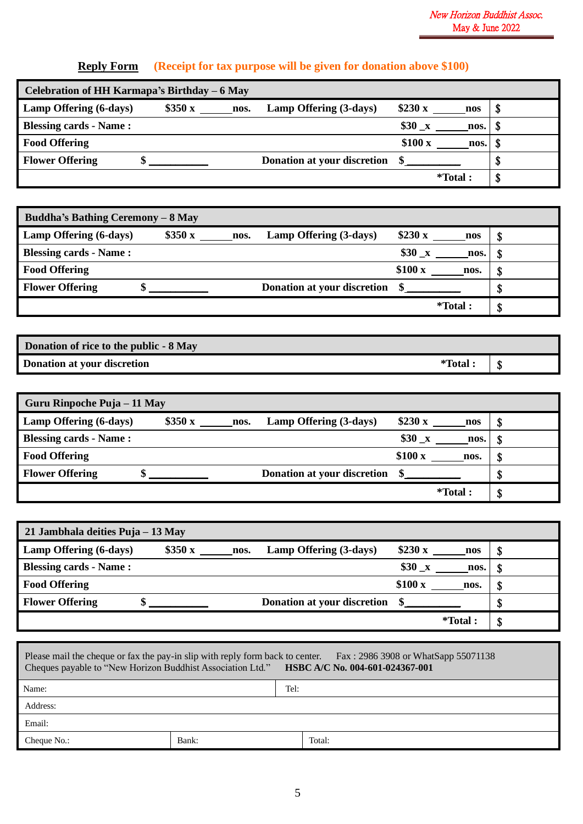## **Reply Form (Receipt for tax purpose will be given for donation above \$100)**

| Celebration of HH Karmapa's Birthday – 6 May |  |        |      |                             |              |         |   |  |
|----------------------------------------------|--|--------|------|-----------------------------|--------------|---------|---|--|
| Lamp Offering (6-days)                       |  | \$350x | nos. | Lamp Offering (3-days)      | \$230 x      | nos     | S |  |
| <b>Blessing cards - Name:</b>                |  |        |      |                             | $$30 \times$ | nos.    |   |  |
| <b>Food Offering</b>                         |  |        |      |                             | \$100x       | nos.    | D |  |
| <b>Flower Offering</b>                       |  |        |      | Donation at your discretion |              |         | Φ |  |
|                                              |  |        |      |                             |              | *Total: | Φ |  |

| <b>Buddha's Bathing Ceremony - 8 May</b> |        |      |                             |                      |   |  |  |
|------------------------------------------|--------|------|-----------------------------|----------------------|---|--|--|
| Lamp Offering (6-days)                   | \$350x | nos. | Lamp Offering (3-days)      | \$230 x<br>nos       |   |  |  |
| <b>Blessing cards - Name:</b>            |        |      |                             | $$30 \times$<br>nos. |   |  |  |
| <b>Food Offering</b>                     |        |      |                             | \$100x<br>nos.       |   |  |  |
| <b>Flower Offering</b>                   |        |      | Donation at your discretion |                      | Φ |  |  |
|                                          |        |      |                             | $*Total$ :           | S |  |  |

| Donation of rice to the public - 8 May |          |  |
|----------------------------------------|----------|--|
| Donation at your discretion            | *Total : |  |

| Guru Rinpoche Puja – 11 May   |        |      |                             |                      |   |
|-------------------------------|--------|------|-----------------------------|----------------------|---|
| Lamp Offering (6-days)        | \$350x | nos. | Lamp Offering (3-days)      | \$230 x<br>nos       | 5 |
| <b>Blessing cards - Name:</b> |        |      |                             | $$30 \times$<br>nos. |   |
| <b>Food Offering</b>          |        |      |                             | \$100x<br>nos.       | S |
| <b>Flower Offering</b>        |        |      | Donation at your discretion |                      |   |
|                               |        |      |                             | *Total:              |   |

| 21 Jambhala deities Puja – 13 May |        |                                |                  |          |  |  |
|-----------------------------------|--------|--------------------------------|------------------|----------|--|--|
| Lamp Offering (6-days)            | \$350x | Lamp Offering (3-days)<br>nos. | \$230 x          | S<br>nos |  |  |
| Blessing cards - Name:            |        |                                | $$30 \times$     | nos.     |  |  |
| <b>Food Offering</b>              |        |                                | \$100x           | nos.     |  |  |
| <b>Flower Offering</b>            |        | Donation at your discretion    |                  |          |  |  |
|                                   |        |                                | <i>*</i> Total : | C        |  |  |

| Please mail the cheque or fax the pay-in slip with reply form back to center. Fax: 2986 3908 or WhatSapp 55071138<br>Cheques payable to "New Horizon Buddhist Association Ltd." HSBC A/C No. 004-601-024367-001 |       |        |  |  |  |
|-----------------------------------------------------------------------------------------------------------------------------------------------------------------------------------------------------------------|-------|--------|--|--|--|
| Name:                                                                                                                                                                                                           |       | Tel:   |  |  |  |
| Address:                                                                                                                                                                                                        |       |        |  |  |  |
| Email:                                                                                                                                                                                                          |       |        |  |  |  |
| Cheque No.:                                                                                                                                                                                                     | Bank: | Total: |  |  |  |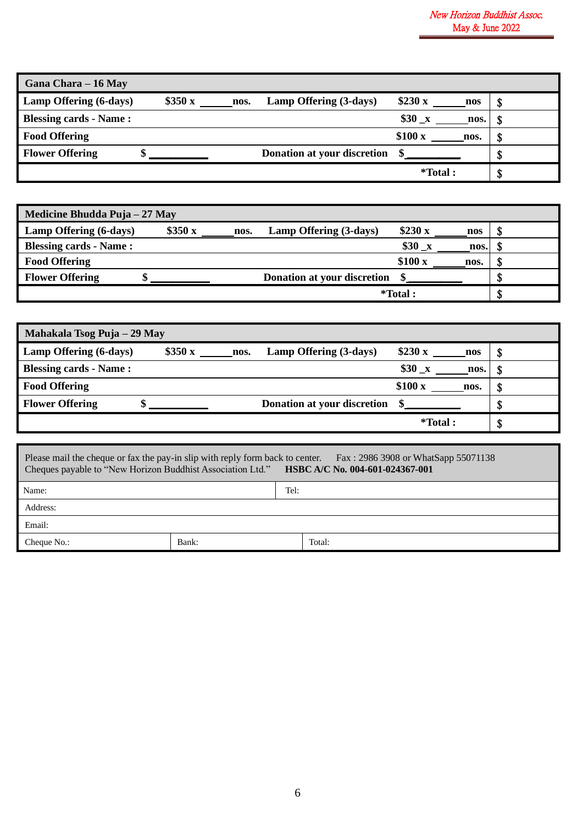| Gana Chara – 16 May           |        |      |                             |                              |      |
|-------------------------------|--------|------|-----------------------------|------------------------------|------|
| Lamp Offering (6-days)        | \$350x | nos. | Lamp Offering (3-days)      | \$230x<br>nos                | - S  |
| <b>Blessing cards - Name:</b> |        |      |                             | \$30<br>$\mathbf{x}$<br>nos. |      |
| <b>Food Offering</b>          |        |      |                             | \$100x<br>nos.               | - 33 |
| <b>Flower Offering</b>        |        |      | Donation at your discretion |                              | ъD   |
|                               |        |      |                             | <i>*</i> Total :             | D.   |

| Medicine Bhudda Puja – 27 May |        |      |                             |            |      |  |
|-------------------------------|--------|------|-----------------------------|------------|------|--|
| Lamp Offering (6-days)        | \$350x | nos. | Lamp Offering (3-days)      | \$230 x    | nos  |  |
| <b>Blessing cards - Name:</b> |        |      |                             | $$30_x$    | nos. |  |
| <b>Food Offering</b>          |        |      |                             | \$100x     | nos. |  |
| <b>Flower Offering</b>        |        |      | Donation at your discretion |            |      |  |
|                               |        |      |                             | $*Total$ : |      |  |

| Mahakala Tsog Puja – 29 May   |                |                             |                      |    |  |
|-------------------------------|----------------|-----------------------------|----------------------|----|--|
| Lamp Offering (6-days)        | \$350x<br>nos. | Lamp Offering (3-days)      | \$230 x<br>nos       | -S |  |
| <b>Blessing cards - Name:</b> |                |                             | $$30 \times$<br>nos. |    |  |
| <b>Food Offering</b>          |                |                             | \$100x<br>nos.       |    |  |
| <b>Flower Offering</b>        |                | Donation at your discretion |                      | Φ  |  |
|                               |                |                             | *Total:              | \$ |  |

| Please mail the cheque or fax the pay-in slip with reply form back to center. Fax: 2986 3908 or WhatSapp 55071138<br><b>HSBC A/C No. 004-601-024367-001</b><br>Cheques payable to "New Horizon Buddhist Association Ltd." |       |  |        |  |  |
|---------------------------------------------------------------------------------------------------------------------------------------------------------------------------------------------------------------------------|-------|--|--------|--|--|
| Name:                                                                                                                                                                                                                     |       |  | Tel:   |  |  |
| Address:                                                                                                                                                                                                                  |       |  |        |  |  |
| Email:                                                                                                                                                                                                                    |       |  |        |  |  |
| Cheque No.:                                                                                                                                                                                                               | Bank: |  | Total: |  |  |